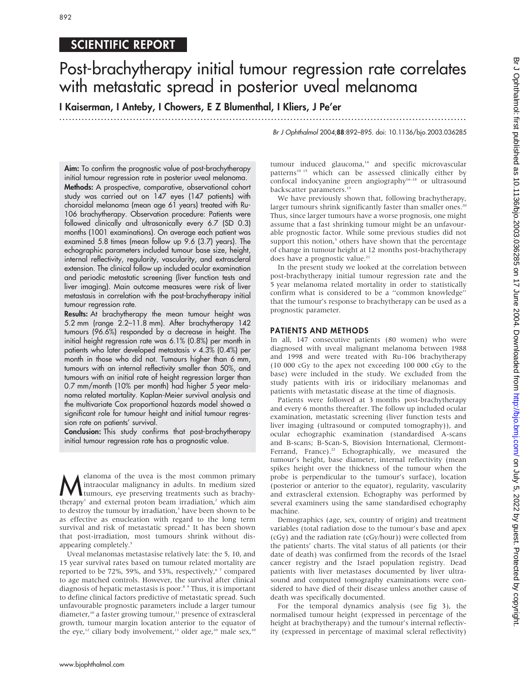892

## SCIENTIFIC REPORT

# Post-brachytherapy initial tumour regression rate correlates with metastatic spread in posterior uveal melanoma

I Kaiserman, I Anteby, I Chowers, E Z Blumenthal, I Kliers, J Pe'er

...............................................................................................................................

Br J Ophthalmol 2004;88:892–895. doi: 10.1136/bjo.2003.036285

Aim: To confirm the prognostic value of post-brachytherapy initial tumour regression rate in posterior uveal melanoma. Methods: A prospective, comparative, observational cohort study was carried out on 147 eyes (147 patients) with choroidal melanoma (mean age 61 years) treated with Ru-106 brachytherapy. Observation procedure: Patients were followed clinically and ultrasonically every 6.7 (SD 0.3) months (1001 examinations). On average each patient was examined 5.8 times (mean follow up 9.6 (3.7) years). The echographic parameters included tumour base size, height, internal reflectivity, regularity, vascularity, and extrascleral extension. The clinical follow up included ocular examination and periodic metastatic screening (liver function tests and liver imaging). Main outcome measures were risk of liver metastasis in correlation with the post-brachytherapy initial tumour regression rate.

Results: At brachytherapy the mean tumour height was 5.2 mm (range 2.2–11.8 mm). After brachytherapy 142 tumours (96.6%) responded by a decrease in height. The initial height regression rate was 6.1% (0.8%) per month in patients who later developed metastasis v 4.3% (0.4%) per month in those who did not. Tumours higher than 6 mm, tumours with an internal reflectivity smaller than 50%, and tumours with an initial rate of height regression larger than 0.7 mm/month (10% per month) had higher 5 year melanoma related mortality. Kaplan-Meier survival analysis and the multivariate Cox proportional hazards model showed a significant role for tumour height and initial tumour regression rate on patients' survival.

Conclusion: This study confirms that post-brachytherapy initial tumour regression rate has a prognostic value.

**M**elanoma of the uvea is the most common primary<br>intraocular malignancy in adults. In medium sized<br>tumours, eye preserving treatments such as brachy-<br>therewel and avternal proton born irrediction <sup>2</sup> which aim intraocular malignancy in adults. In medium sized therapy<sup>1</sup> and external proton beam irradiation,<sup>2</sup> which aim to destroy the tumour by irradiation,<sup>3</sup> have been shown to be as effective as enucleation with regard to the long term survival and risk of metastatic spread.<sup>4</sup> It has been shown that post-irradiation, most tumours shrink without disappearing completely.<sup>5</sup>

Uveal melanomas metastasise relatively late: the 5, 10, and 15 year survival rates based on tumour related mortality are reported to be 72%, 59%, and 53%, respectively, $67$  compared to age matched controls. However, the survival after clinical diagnosis of hepatic metastasis is poor.8 9 Thus, it is important to define clinical factors predictive of metastatic spread. Such unfavourable prognostic parameters include a larger tumour diameter,<sup>10</sup> a faster growing tumour,<sup>11</sup> presence of extrascleral growth, tumour margin location anterior to the equator of the eye,<sup>12</sup> ciliary body involvement,<sup>13</sup> older age,<sup>10</sup> male sex,<sup>10</sup>

tumour induced glaucoma,<sup>14</sup> and specific microvascular patterns<sup>10 15</sup> which can be assessed clinically either by confocal indocyanine green angiography<sup>16–18</sup> or ultrasound backscatter parameters.<sup>19</sup>

We have previously shown that, following brachytherapy, larger tumours shrink significantly faster than smaller ones.<sup>20</sup> Thus, since larger tumours have a worse prognosis, one might assume that a fast shrinking tumour might be an unfavourable prognostic factor. While some previous studies did not support this notion,<sup>5</sup> others have shown that the percentage of change in tumour height at 12 months post-brachytherapy does have a prognostic value.<sup>21</sup>

In the present study we looked at the correlation between post-brachytherapy initial tumour regression rate and the 5 year melanoma related mortality in order to statistically confirm what is considered to be a ''common knowledge'' that the tumour's response to brachytherapy can be used as a prognostic parameter.

### PATIENTS AND METHODS

In all, 147 consecutive patients (80 women) who were diagnosed with uveal malignant melanoma between 1988 and 1998 and were treated with Ru-106 brachytherapy (10 000 cGy to the apex not exceeding 100 000 cGy to the base) were included in the study. We excluded from the study patients with iris or iridociliary melanomas and patients with metastatic disease at the time of diagnosis.

Patients were followed at 3 months post-brachytherapy and every 6 months thereafter. The follow up included ocular examination, metastatic screening (liver function tests and liver imaging (ultrasound or computed tomography)), and ocular echographic examination (standardised A-scans and B-scans; B-Scan-S, Biovision International, Clermont-Ferrand, France).<sup>22</sup> Echographically, we measured the tumour's height, base diameter, internal reflectivity (mean spikes height over the thickness of the tumour when the probe is perpendicular to the tumour's surface), location (posterior or anterior to the equator), regularity, vascularity and extrascleral extension. Echography was performed by several examiners using the same standardised echography machine.

Demographics (age, sex, country of origin) and treatment variables (total radiation dose to the tumour's base and apex (cGy) and the radiation rate (cGy/hour)) were collected from the patients' charts. The vital status of all patients (or their date of death) was confirmed from the records of the Israel cancer registry and the Israel population registry. Dead patients with liver metastases documented by liver ultrasound and computed tomography examinations were considered to have died of their disease unless another cause of death was specifically documented.

For the temporal dynamics analysis (see fig 3), the normalised tumour height (expressed in percentage of the height at brachytherapy) and the tumour's internal reflectivity (expressed in percentage of maximal scleral reflectivity)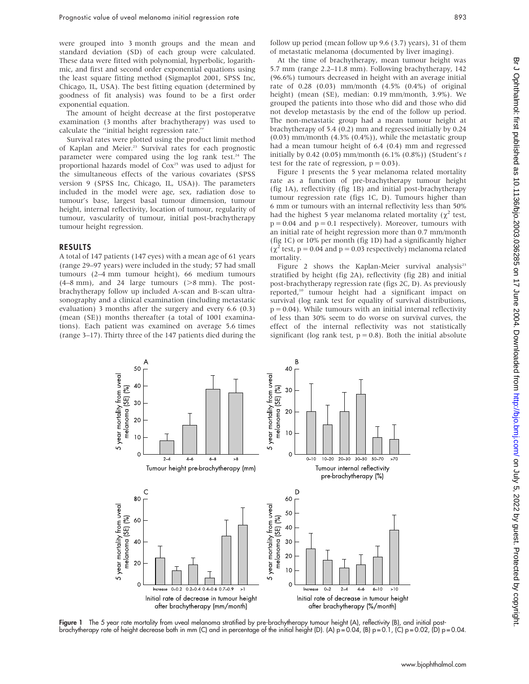were grouped into 3 month groups and the mean and standard deviation (SD) of each group were calculated. These data were fitted with polynomial, hyperbolic, logarithmic, and first and second order exponential equations using the least square fitting method (Sigmaplot 2001, SPSS Inc, Chicago, IL, USA). The best fitting equation (determined by goodness of fit analysis) was found to be a first order exponential equation.

The amount of height decrease at the first postoperatve examination (3 months after brachytherapy) was used to calculate the ''initial height regression rate.''

Survival rates were plotted using the product limit method of Kaplan and Meier.<sup>23</sup> Survival rates for each prognostic parameter were compared using the log rank test.<sup>24</sup> The proportional hazards model of Cox<sup>25</sup> was used to adjust for the simultaneous effects of the various covariates (SPSS version 9 (SPSS Inc, Chicago, IL, USA)). The parameters included in the model were age, sex, radiation dose to tumour's base, largest basal tumour dimension, tumour height, internal reflectivity, location of tumour, regularity of tumour, vascularity of tumour, initial post-brachytherapy tumour height regression.

### RESULTS

A total of 147 patients (147 eyes) with a mean age of 61 years (range 29–97 years) were included in the study; 57 had small tumours (2–4 mm tumour height), 66 medium tumours  $(4–8 \text{ mm})$ , and 24 large tumours  $(>8 \text{ mm})$ . The postbrachytherapy follow up included A-scan and B-scan ultrasonography and a clinical examination (including metastatic evaluation) 3 months after the surgery and every 6.6 (0.3) (mean (SE)) months thereafter (a total of 1001 examinations). Each patient was examined on average 5.6 times (range 3–17). Thirty three of the 147 patients died during the follow up period (mean follow up 9.6 (3.7) years), 31 of them of metastatic melanoma (documented by liver imaging).

At the time of brachytherapy, mean tumour height was 5.7 mm (range 2.2–11.8 mm). Following brachytherapy, 142 (96.6%) tumours decreased in height with an average initial rate of 0.28 (0.03) mm/month (4.5% (0.4%) of original height) (mean (SE), median: 0.19 mm/month, 3.9%). We grouped the patients into those who did and those who did not develop metastasis by the end of the follow up period. The non-metastatic group had a mean tumour height at brachytherapy of 5.4 (0.2) mm and regressed initially by 0.24 (0.03) mm/month (4.3% (0.4%)), while the metastatic group had a mean tumour height of 6.4 (0.4) mm and regressed initially by 0.42 (0.05) mm/month  $(6.1\% (0.8\%))$  (Student's t test for the rate of regression,  $p = 0.03$ ).

Figure 1 presents the 5 year melanoma related mortality rate as a function of pre-brachytherapy tumour height (fig 1A), reflectivity (fig 1B) and initial post-brachytherapy tumour regression rate (figs 1C, D). Tumours higher than 6 mm or tumours with an internal reflectivity less than 50% had the highest 5 year melanoma related mortality ( $\chi^2$  test,  $p = 0.04$  and  $p = 0.1$  respectively). Moreover, tumours with an initial rate of height regression more than 0.7 mm/month (fig 1C) or 10% per month (fig 1D) had a significantly higher  $(\chi^2 \text{ test}, p = 0.04 \text{ and } p = 0.03 \text{ respectively})$  melanoma related mortality.

Figure 2 shows the Kaplan-Meier survival analysis<sup>23</sup> stratified by height (fig 2A), reflectivity (fig 2B) and initial post-brachytherapy regression rate (figs 2C, D). As previously reported,<sup>10</sup> tumour height had a significant impact on survival (log rank test for equality of survival distributions,  $p = 0.04$ ). While tumours with an initial internal reflectivity of less than 30% seem to do worse on survival curves, the effect of the internal reflectivity was not statistically significant (log rank test,  $p = 0.8$ ). Both the initial absolute



Figure 1 The 5 year rate mortality from uveal melanoma stratified by pre-brachytherapy tumour height (A), reflectivity (B), and initial postbrachytherapy rate of height decrease both in mm (C) and in percentage of the initial height (D). (A)  $p = 0.04$ , (B)  $p = 0.1$ , (C)  $p = 0.02$ , (D)  $p = 0.04$ .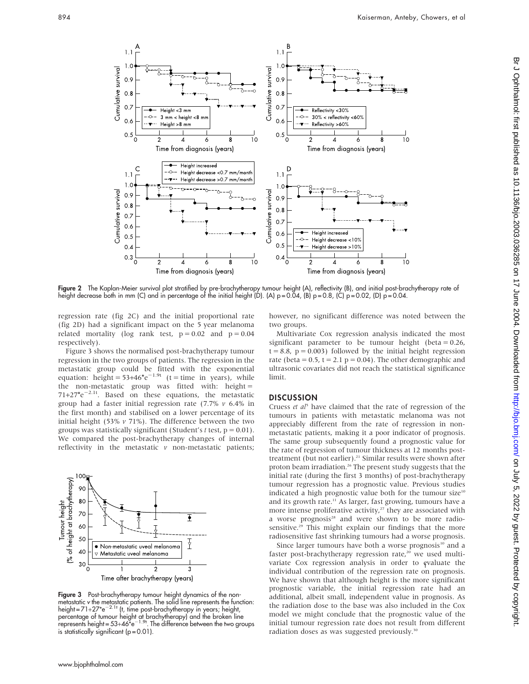

Figure 2 The Kaplan-Meier survival plot stratified by pre-brachytherapy tumour height (A), reflectivity (B), and initial post-brachytherapy rate of height decrease both in mm (C) and in percentage of the initial height (D). (A) p=0.04, (B) p=0.8, (C) p=0.02, (D) p=0.04.

regression rate (fig 2C) and the initial proportional rate (fig 2D) had a significant impact on the 5 year melanoma related mortality (log rank test,  $p = 0.02$  and  $p = 0.04$ respectively).

Figure 3 shows the normalised post-brachytherapy tumour regression in the two groups of patients. The regression in the metastatic group could be fitted with the exponential equation: height =  $53+46^*e^{-1.9t}$  (t = time in years), while the non-metastatic group was fitted with: height =  $71+27^{\star}e^{-2.1t}$ . Based on these equations, the metastatic group had a faster initial regression rate  $(7.7\% \text{ } v \text{ } 6.4\% \text{ in}$ the first month) and stabilised on a lower percentage of its initial height (53%  $v$  71%). The difference between the two groups was statistically significant (Student's t test,  $p = 0.01$ ). We compared the post-brachytherapy changes of internal reflectivity in the metastatic  $\nu$  non-metastatic patients;



Figure 3 Post-brachytherapy tumour height dynamics of the nonmetastatic v the metastatic patients. The solid line represents the function:  $height = 71+27*e^{-2.1t}$  (t, time post-brachytherapy in years; height, percentage of tumour height at brachytherapy) and the broken line<br>represents height= 53+46\*e<sup>-1.9t</sup>. The difference between the two groups is statistically significant  $(p = 0.01)$ .

however, no significant difference was noted between the two groups.

Multivariate Cox regression analysis indicated the most significant parameter to be tumour height (beta  $= 0.26$ ,  $t = 8.8$ ,  $p = 0.003$ ) followed by the initial height regression rate (beta =  $0.5$ , t =  $2.1$  p =  $0.04$ ). The other demographic and ultrasonic covariates did not reach the statistical significance limit.

#### **DISCUSSION**

Cruess et  $a<sup>j</sup>$  have claimed that the rate of regression of the tumours in patients with metastatic melanoma was not appreciably different from the rate of regression in nonmetastatic patients, making it a poor indicator of prognosis. The same group subsequently found a prognostic value for the rate of regression of tumour thickness at 12 months posttreatment (but not earlier).<sup>21</sup> Similar results were shown after proton beam irradiation.<sup>26</sup> The present study suggests that the initial rate (during the first 3 months) of post-brachytherapy tumour regression has a prognostic value. Previous studies indicated a high prognostic value both for the tumour size<sup>10</sup> and its growth rate.<sup>11</sup> As larger, fast growing, tumours have a more intense proliferative activity, $27$  they are associated with a worse prognosis<sup>28</sup> and were shown to be more radiosensitive.<sup>29</sup> This might explain our findings that the more radiosensitive fast shrinking tumours had a worse prognosis.

Since larger tumours have both a worse prognosis<sup>10</sup> and a faster post-brachytherapy regression rate,<sup>20</sup> we used multivariate Cox regression analysis in order to evaluate the individual contribution of the regression rate on prognosis. We have shown that although height is the more significant prognostic variable, the initial regression rate had an additional, albeit small, independent value in prognosis. As the radiation dose to the base was also included in the Cox model we might conclude that the prognostic value of the initial tumour regression rate does not result from different radiation doses as was suggested previously.<sup>30</sup>